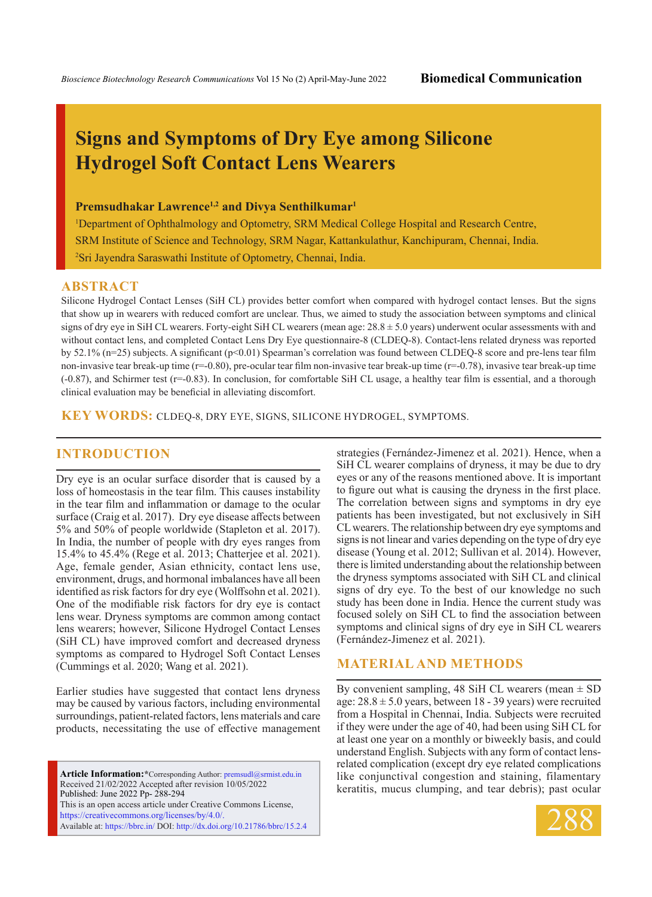# **Signs and Symptoms of Dry Eye among Silicone Hydrogel Soft Contact Lens Wearers**

## **Premsudhakar Lawrence1,2 and Divya Senthilkumar1**

1 Department of Ophthalmology and Optometry, SRM Medical College Hospital and Research Centre, SRM Institute of Science and Technology, SRM Nagar, Kattankulathur, Kanchipuram, Chennai, India. 2 Sri Jayendra Saraswathi Institute of Optometry, Chennai, India.

#### **ABSTRACT**

Silicone Hydrogel Contact Lenses (SiH CL) provides better comfort when compared with hydrogel contact lenses. But the signs that show up in wearers with reduced comfort are unclear. Thus, we aimed to study the association between symptoms and clinical signs of dry eye in SiH CL wearers. Forty-eight SiH CL wearers (mean age: 28.8 ± 5.0 years) underwent ocular assessments with and without contact lens, and completed Contact Lens Dry Eye questionnaire-8 (CLDEQ-8). Contact-lens related dryness was reported by 52.1% (n=25) subjects. A significant (p<0.01) Spearman's correlation was found between CLDEQ-8 score and pre-lens tear film non-invasive tear break-up time (r=-0.80), pre-ocular tear film non-invasive tear break-up time (r=-0.78), invasive tear break-up time (-0.87), and Schirmer test (r=-0.83). In conclusion, for comfortable SiH CL usage, a healthy tear film is essential, and a thorough clinical evaluation may be beneficial in alleviating discomfort.

**KEY WORDS:** CLDEQ-8, dry eye, signs, silicone hydrogel, symptoms.

## **INTRODUCTION**

Dry eye is an ocular surface disorder that is caused by a loss of homeostasis in the tear film. This causes instability in the tear film and inflammation or damage to the ocular surface (Craig et al. 2017). Dry eye disease affects between 5% and 50% of people worldwide (Stapleton et al. 2017). In India, the number of people with dry eyes ranges from 15.4% to 45.4% (Rege et al. 2013; Chatterjee et al. 2021). Age, female gender, Asian ethnicity, contact lens use, environment, drugs, and hormonal imbalances have all been identified as risk factors for dry eye (Wolffsohn et al. 2021). One of the modifiable risk factors for dry eye is contact lens wear. Dryness symptoms are common among contact lens wearers; however, Silicone Hydrogel Contact Lenses (SiH CL) have improved comfort and decreased dryness symptoms as compared to Hydrogel Soft Contact Lenses (Cummings et al. 2020; Wang et al. 2021).

Earlier studies have suggested that contact lens dryness may be caused by various factors, including environmental surroundings, patient-related factors, lens materials and care products, necessitating the use of effective management

**Article Information:\***Corresponding Author: premsudl@srmist.edu.in Received 21/02/2022 Accepted after revision 10/05/2022 Published: June 2022 Pp- 288-294 This is an open access article under Creative Commons License, https://creativecommons.org/licenses/by/4.0/. Available at: https://bbrc.in/ DOI: http://dx.doi.org/10.21786/bbrc/15.2.4 strategies (Fernández-Jimenez et al. 2021). Hence, when a SiH CL wearer complains of dryness, it may be due to dry eyes or any of the reasons mentioned above. It is important to figure out what is causing the dryness in the first place. The correlation between signs and symptoms in dry eye patients has been investigated, but not exclusively in SiH CL wearers. The relationship between dry eye symptoms and signs is not linear and varies depending on the type of dry eye disease (Young et al. 2012; Sullivan et al. 2014). However, there is limited understanding about the relationship between the dryness symptoms associated with SiH CL and clinical signs of dry eye. To the best of our knowledge no such study has been done in India. Hence the current study was focused solely on SiH CL to find the association between symptoms and clinical signs of dry eye in SiH CL wearers (Fernández-Jimenez et al. 2021).

## **Material and Methods**

By convenient sampling, 48 SiH CL wearers (mean  $\pm$  SD age:  $28.8 \pm 5.0$  years, between 18 - 39 years) were recruited from a Hospital in Chennai, India. Subjects were recruited if they were under the age of 40, had been using SiH CL for at least one year on a monthly or biweekly basis, and could understand English. Subjects with any form of contact lensrelated complication (except dry eye related complications like conjunctival congestion and staining, filamentary keratitis, mucus clumping, and tear debris); past ocular

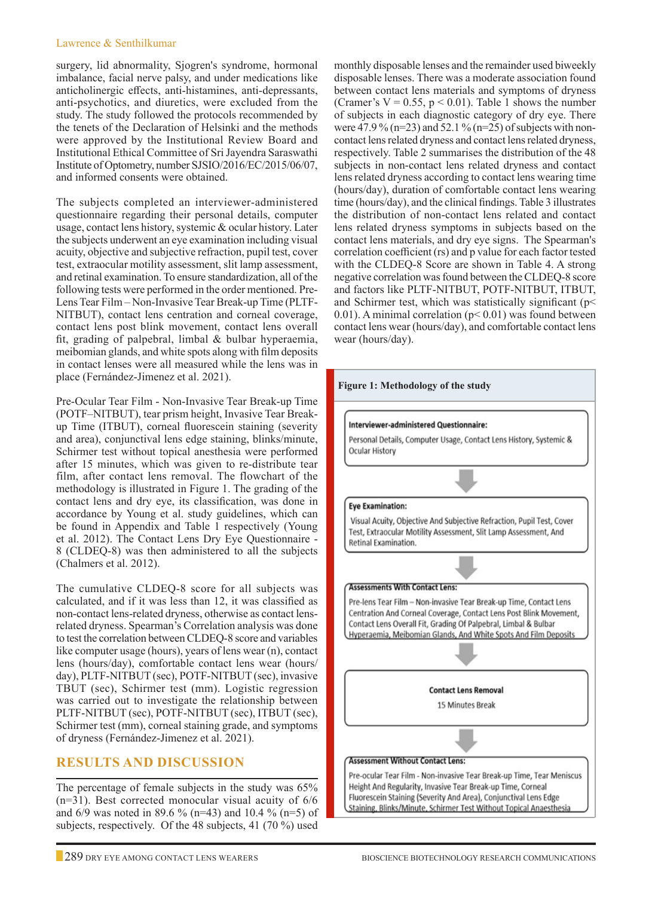#### Lawrence & Senthilkumar

surgery, lid abnormality, Sjogren's syndrome, hormonal imbalance, facial nerve palsy, and under medications like anticholinergic effects, anti-histamines, anti-depressants, anti-psychotics, and diuretics, were excluded from the study. The study followed the protocols recommended by the tenets of the Declaration of Helsinki and the methods were approved by the Institutional Review Board and Institutional Ethical Committee of Sri Jayendra Saraswathi Institute of Optometry, number SJSIO/2016/EC/2015/06/07, and informed consents were obtained.

The subjects completed an interviewer-administered questionnaire regarding their personal details, computer usage, contact lens history, systemic & ocular history. Later the subjects underwent an eye examination including visual acuity, objective and subjective refraction, pupil test, cover test, extraocular motility assessment, slit lamp assessment, and retinal examination. To ensure standardization, all of the following tests were performed in the order mentioned. Pre-Lens Tear Film – Non-Invasive Tear Break-up Time (PLTF-NITBUT), contact lens centration and corneal coverage, contact lens post blink movement, contact lens overall fit, grading of palpebral, limbal & bulbar hyperaemia, meibomian glands, and white spots along with film deposits in contact lenses were all measured while the lens was in place (Fernández-Jimenez et al. 2021).

Pre-Ocular Tear Film - Non-Invasive Tear Break-up Time (POTF–NITBUT), tear prism height, Invasive Tear Breakup Time (ITBUT), corneal fluorescein staining (severity and area), conjunctival lens edge staining, blinks/minute, Schirmer test without topical anesthesia were performed after 15 minutes, which was given to re-distribute tear film, after contact lens removal. The flowchart of the methodology is illustrated in Figure 1. The grading of the contact lens and dry eye, its classification, was done in accordance by Young et al. study guidelines, which can be found in Appendix and Table 1 respectively (Young et al. 2012). The Contact Lens Dry Eye Questionnaire - 8 (CLDEQ-8) was then administered to all the subjects (Chalmers et al. 2012).

The cumulative CLDEQ-8 score for all subjects was calculated, and if it was less than 12, it was classified as non-contact lens-related dryness, otherwise as contact lensrelated dryness. Spearman's Correlation analysis was done to test the correlation between CLDEQ-8 score and variables like computer usage (hours), years of lens wear (n), contact lens (hours/day), comfortable contact lens wear (hours/ day), PLTF-NITBUT (sec), POTF-NITBUT (sec), invasive TBUT (sec), Schirmer test (mm). Logistic regression was carried out to investigate the relationship between PLTF-NITBUT (sec), POTF-NITBUT (sec), ITBUT (sec), Schirmer test (mm), corneal staining grade, and symptoms of dryness (Fernández-Jimenez et al. 2021).

## **Results and Discussion**

The percentage of female subjects in the study was 65%  $(n=31)$ . Best corrected monocular visual acuity of  $6/6$ and 6/9 was noted in 89.6 % (n=43) and 10.4 % (n=5) of subjects, respectively. Of the 48 subjects, 41 (70 %) used monthly disposable lenses and the remainder used biweekly disposable lenses. There was a moderate association found between contact lens materials and symptoms of dryness (Cramer's  $V = 0.55$ ,  $p < 0.01$ ). Table 1 shows the number of subjects in each diagnostic category of dry eye. There were 47.9 % (n=23) and 52.1 % (n=25) of subjects with noncontact lens related dryness and contact lens related dryness, respectively. Table 2 summarises the distribution of the 48 subjects in non-contact lens related dryness and contact lens related dryness according to contact lens wearing time (hours/day), duration of comfortable contact lens wearing time (hours/day), and the clinical findings. Table 3 illustrates the distribution of non-contact lens related and contact lens related dryness symptoms in subjects based on the contact lens materials, and dry eye signs. The Spearman's correlation coefficient (rs) and p value for each factor tested with the CLDEQ-8 Score are shown in Table 4. A strong negative correlation was found between the CLDEQ-8 score and factors like PLTF-NITBUT, POTF-NITBUT, ITBUT, and Schirmer test, which was statistically significant (p< 0.01). A minimal correlation ( $p$ < 0.01) was found between contact lens wear (hours/day), and comfortable contact lens wear (hours/day).

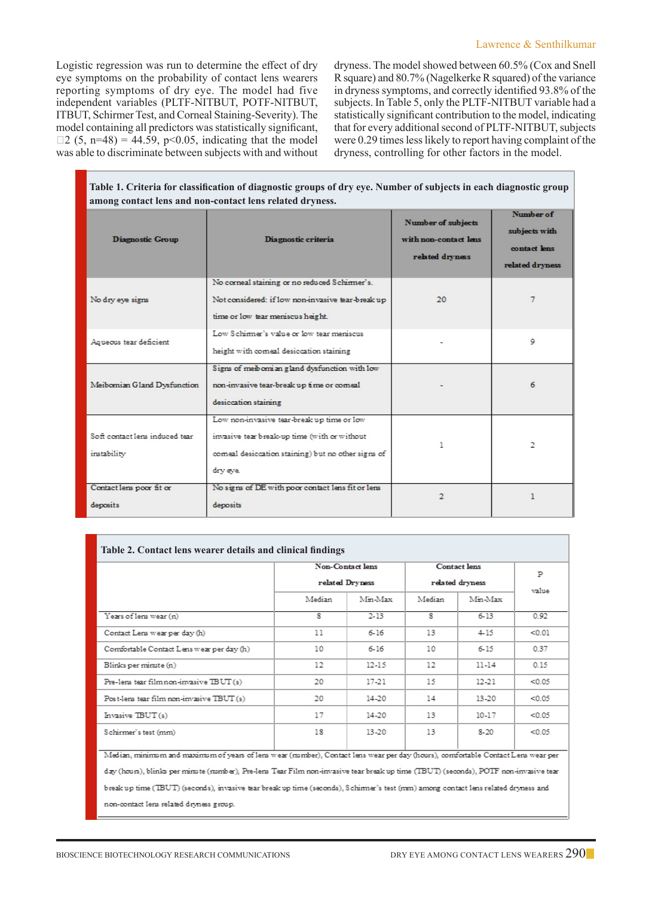Logistic regression was run to determine the effect of dry eye symptoms on the probability of contact lens wearers reporting symptoms of dry eye. The model had five independent variables (PLTF-NITBUT, POTF-NITBUT, ITBUT, Schirmer Test, and Corneal Staining-Severity). The model containing all predictors was statistically significant,  $\Box$ 2 (5, n=48) = 44.59, p<0.05, indicating that the model was able to discriminate between subjects with and without dryness. The model showed between 60.5% (Cox and Snell R square) and 80.7% (Nagelkerke R squared) of the variance in dryness symptoms, and correctly identified 93.8% of the subjects. In Table 5, only the PLTF-NITBUT variable had a statistically significant contribution to the model, indicating that for every additional second of PLTF-NITBUT, subjects were 0.29 times less likely to report having complaint of the dryness, controlling for other factors in the model.

| Table 1. Criteria for classification of diagnostic groups of dry eye. Number of subjects in each diagnostic group<br>among contact lens and non-contact lens related dryness. |                                                                                                                                                              |                                                                |                                                               |  |  |
|-------------------------------------------------------------------------------------------------------------------------------------------------------------------------------|--------------------------------------------------------------------------------------------------------------------------------------------------------------|----------------------------------------------------------------|---------------------------------------------------------------|--|--|
| <b>Diagnostic Group</b>                                                                                                                                                       | Diagnostic criteria                                                                                                                                          | Number of subjects<br>with non-contact lens<br>related dryness | Number of<br>subjects with<br>contact lens<br>related dryness |  |  |
| No dry eye signs                                                                                                                                                              | No corneal staining or no reduced Schimner's.<br>Not considered: if low non-invasive tear-break up<br>time or low tear meniscus height.                      | 20                                                             | 7                                                             |  |  |
| Agueous tear deficient                                                                                                                                                        | Low Schimner's value or low tear meniscus<br>height with comeal desiccation staining                                                                         |                                                                | 9                                                             |  |  |
| Meibomian Gland Dysfunction                                                                                                                                                   | Signs of melbomian gland dysfunction with low<br>non-invasive tear-break up time or comeal<br>desiccation staining                                           |                                                                | 6                                                             |  |  |
| Soft contact lens induced tear<br>instability                                                                                                                                 | Low non-invasive tear-break up time or low<br>invasive tear break-up time (with or without<br>comeal desiccation staining) but no other signs of<br>dry eye. |                                                                | 2                                                             |  |  |
| Contact lens poor fit or<br>deposits                                                                                                                                          | No signs of DE with poor contact lens fit or lens<br>deposits                                                                                                | 2                                                              |                                                               |  |  |

|                                                                                                                                      |                 | Non-Contact lens | Contact lens    |           |        |
|--------------------------------------------------------------------------------------------------------------------------------------|-----------------|------------------|-----------------|-----------|--------|
|                                                                                                                                      | related Dryness |                  | related dryness |           | P      |
|                                                                                                                                      | Median          | Min-Max          | Median          | Min-Max   | value  |
| Years of lens wear (n)                                                                                                               | 8               | $2 - 13$         | 8               | 6-13      | 0.92   |
| Contact Lens wear per day (h)                                                                                                        | 11              | $6 - 16$         | 13              | $4 - 15$  | < 0.01 |
| Comfortable Contact Lens wear per day (h)                                                                                            | 10              | $6 - 16$         | 10              | $6 - 15$  | 0.37   |
| Blinks per minute (n)                                                                                                                | 12              | $12 - 15$        | 12              | $11 - 14$ | 015    |
| Pre-lens tear film non-invasive TBUT (s)                                                                                             | 20              | 17-21            | 15              | 12-21     | < 0.05 |
| Post-lens tear film non-invasive TBUT (s)                                                                                            | 20              | 14-20            | 14              | 13-20     | < 0.05 |
| Invasive TBUT(s)                                                                                                                     | 17              | 14-20            | 13              | $10-17$   | < 0.05 |
| Schirmer's test (mm)                                                                                                                 | 18              | 13-20            | -13             | 8-20      | < 0.05 |
| Median, minimum and maximum of years of lens wear (number), Contact lens wear per day (hours), comfortable Contact Lens wear per     |                 |                  |                 |           |        |
| day (hours), blinks per minute (number), Pre-lens Tear Film non-invasive tear break up time (TBUT) (seconds), POTF non-invasive tear |                 |                  |                 |           |        |
| break up time (TBUT) (seconds), invasive tear break up time (seconds), Schimmer's test (mm) among contact lens related dryness and   |                 |                  |                 |           |        |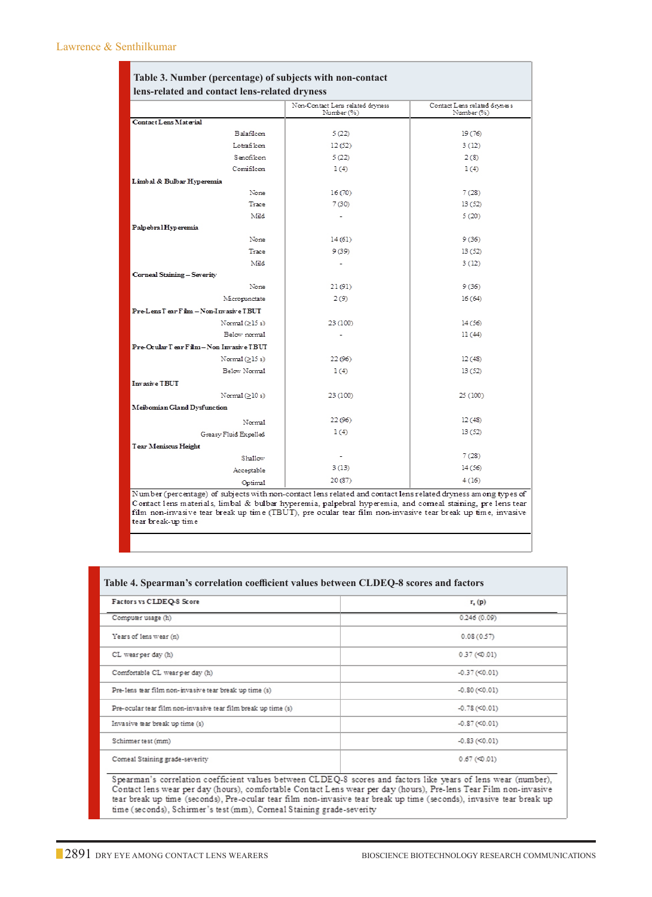| Table 3. Number (percentage) of subjects with non-contact                                                     |                                                |                                            |  |  |  |
|---------------------------------------------------------------------------------------------------------------|------------------------------------------------|--------------------------------------------|--|--|--|
| lens-related and contact lens-related dryness                                                                 |                                                |                                            |  |  |  |
|                                                                                                               | Non-Contact Lens related dryness<br>Number (%) | Contact Lens related dryness<br>Number (%) |  |  |  |
| Contact Lens Material                                                                                         |                                                |                                            |  |  |  |
| <b>Balafileon</b>                                                                                             | 5(22)                                          | 19(76)                                     |  |  |  |
| Lotrafilcon                                                                                                   | 12(52)                                         | 3(12)                                      |  |  |  |
| Senofilcon                                                                                                    | 5(22)                                          | 2(8)                                       |  |  |  |
| Comifileon                                                                                                    | 1(4)                                           | 1(4)                                       |  |  |  |
| Limbal & Bulbar Hyperemia                                                                                     |                                                |                                            |  |  |  |
| None                                                                                                          | 16(70)                                         | 7(28)                                      |  |  |  |
| Trace                                                                                                         | 7 (30)                                         | 13(52)                                     |  |  |  |
| Mild                                                                                                          |                                                | 5(20)                                      |  |  |  |
| Palpebral Hyperemia                                                                                           |                                                |                                            |  |  |  |
| None                                                                                                          | 14(61)                                         | 9(36)                                      |  |  |  |
| Træe                                                                                                          | 9 (39)                                         | 13(52)                                     |  |  |  |
| Mild                                                                                                          |                                                | 3(12)                                      |  |  |  |
| Corneal Staining - Severity                                                                                   |                                                |                                            |  |  |  |
| None                                                                                                          | 21 (91)                                        | 9(36)                                      |  |  |  |
| Micropunctate                                                                                                 | 2(9)                                           | 16(64)                                     |  |  |  |
| Pre-Lens Tear Film - Non-Invasive TBUT                                                                        |                                                |                                            |  |  |  |
| Normal $(≥15s)$                                                                                               | 23 (100)                                       | 14(56)                                     |  |  |  |
| Below normal                                                                                                  |                                                | 11(44)                                     |  |  |  |
| Pre-Ocular Tear Film - Non Invasive TBUT                                                                      |                                                |                                            |  |  |  |
| Normal $(>15 s)$                                                                                              | 22(96)                                         | 12(48)                                     |  |  |  |
| Below Normal                                                                                                  | 1(4)                                           | 13 (52)                                    |  |  |  |
| Invasive TBUT                                                                                                 |                                                |                                            |  |  |  |
| Normal $(>10 s)$                                                                                              | 23 (100)                                       | 25 (100)                                   |  |  |  |
| Meibomian Gland Dysfunction                                                                                   |                                                |                                            |  |  |  |
| Normal                                                                                                        | 22(96)                                         | 12(48)                                     |  |  |  |
| Greasy Fluid Expelled                                                                                         | 1(4)                                           | 13(52)                                     |  |  |  |
| Tear Meniscus Height                                                                                          |                                                |                                            |  |  |  |
| Shallow                                                                                                       |                                                | 7(28)                                      |  |  |  |
| Acceptable                                                                                                    | 3(13)                                          | 14(56)                                     |  |  |  |
| Optimal                                                                                                       | 20 (87)                                        | 4(16)                                      |  |  |  |
| Number (percentage) of subjects with non-contact lens related and contact lens related dryness among types of |                                                |                                            |  |  |  |

Contact lens materials, limbal & bulbar hyperemia, palpebral hyperemia, and conneal staining, pre lens tear<br>film non-invasive tear break up time (TBUT), pre ocular tear film non-invasive tear break up time, invasive  $\,$  tear  $\,$  break-up time

| Factors vs CLDEQ-8 Score                                      | $r_{\rm c}(p)$               |
|---------------------------------------------------------------|------------------------------|
| Computer usage (h)                                            | 0.246(0.09)                  |
| Years of lens wear (n)                                        | 0.08(0.57)                   |
| CL wearper day (h)                                            | $0.37$ (<0.01)               |
| Comfortable CL wearper day (h)                                | $-0.37 \left( 50.01 \right)$ |
| Pre-lens tear film non-invasive tear break up time (s)        | $-0.80 \, (\leq 0.01)$       |
| Pre-ocular tear film non-invasive tear film break up time (s) | $-0.78 (< 0.01$              |
| Invasive tear break up time (s)                               | $-0.87 \, (< 0.01)$          |
| Schirmer test (mm)                                            | $-0.83 \, (< 0.01)$          |
| Comeal Staining grade-severity                                | $0.67$ (<0.01)               |

Contact lens wear per day (hours), comfortable Contact Lens wear per day (hours), Pre-lens Tear Film non-invasive tear break up time (seconds), Pre-ocular tear film non-invasive tear break up time (seconds), invasive tear break up time (seconds), Schirmer's test (mm), Corneal Staining grade-severity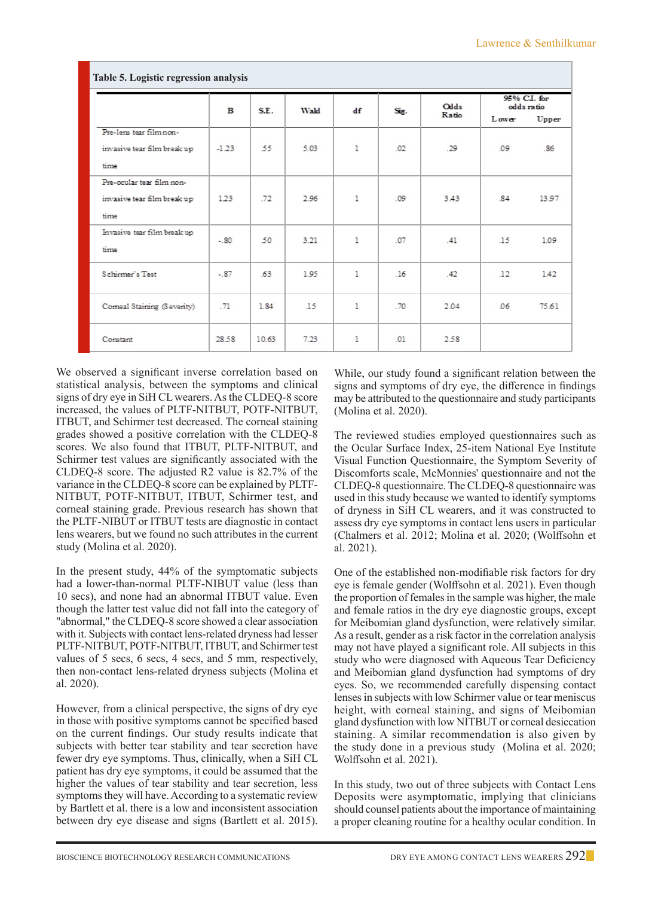| Table 5. Logistic regression analysis |         |       |      |              |      |                      |                            |       |
|---------------------------------------|---------|-------|------|--------------|------|----------------------|----------------------------|-------|
|                                       | в       | S.E.  | Wald | df           | Sig. | <b>Olds</b><br>Ratio | 95% C.I. for<br>odds ratio |       |
|                                       |         |       |      |              |      |                      | <b>Lower</b>               | Upper |
| Pre-lens tear film non-               |         |       |      |              |      |                      |                            |       |
| invasive tear film break up           | $-1.23$ | 55    | 5.03 | $\mathbf{1}$ | .02  | -29                  | .09                        | .86   |
| time                                  |         |       |      |              |      |                      |                            |       |
| Pre-coular tear film non-             |         |       |      |              |      |                      |                            |       |
| invasive tear film break up           | 1.23    | .72   | 2.96 | $\mathbf{1}$ | -09  | 3.43                 | 84                         | 13.97 |
| time                                  |         |       |      |              |      |                      |                            |       |
| Invasive tear film break up           | $-80$   | .50   | 3.21 | $\mathbf{1}$ | -07  | $-41$                | -15                        | 1.09  |
| time                                  |         |       |      |              |      |                      |                            |       |
| Schirmer's Test                       | $-87$   | 63    | 1.95 | $\mathbf{1}$ | .16  | -42                  | 12                         | 142   |
|                                       |         |       |      |              |      |                      |                            |       |
| Comeal Staining (Severity)            | .71     | 1.84  | .15  | $\mathbf{1}$ | .70  | 2.04                 | 06                         | 75.61 |
|                                       |         |       |      |              |      |                      |                            |       |
| Constant                              | 28.58   | 10.63 | 7.23 | 1            | .01  | 2.58                 |                            |       |
|                                       |         |       |      |              |      |                      |                            |       |

We observed a significant inverse correlation based on statistical analysis, between the symptoms and clinical signs of dry eye in SiH CL wearers. As the CLDEQ-8 score increased, the values of PLTF-NITBUT, POTF-NITBUT, ITBUT, and Schirmer test decreased. The corneal staining grades showed a positive correlation with the CLDEQ-8 scores. We also found that ITBUT, PLTF-NITBUT, and Schirmer test values are significantly associated with the CLDEQ-8 score. The adjusted R2 value is 82.7% of the variance in the CLDEQ-8 score can be explained by PLTF-NITBUT, POTF-NITBUT, ITBUT, Schirmer test, and corneal staining grade. Previous research has shown that the PLTF-NIBUT or ITBUT tests are diagnostic in contact lens wearers, but we found no such attributes in the current study (Molina et al. 2020).

In the present study, 44% of the symptomatic subjects had a lower-than-normal PLTF-NIBUT value (less than 10 secs), and none had an abnormal ITBUT value. Even though the latter test value did not fall into the category of "abnormal," the CLDEQ-8 score showed a clear association with it. Subjects with contact lens-related dryness had lesser PLTF-NITBUT, POTF-NITBUT, ITBUT, and Schirmer test values of 5 secs, 6 secs, 4 secs, and 5 mm, respectively, then non-contact lens-related dryness subjects (Molina et al. 2020).

However, from a clinical perspective, the signs of dry eye in those with positive symptoms cannot be specified based on the current findings. Our study results indicate that subjects with better tear stability and tear secretion have fewer dry eye symptoms. Thus, clinically, when a SiH CL patient has dry eye symptoms, it could be assumed that the higher the values of tear stability and tear secretion, less symptoms they will have. According to a systematic review by Bartlett et al. there is a low and inconsistent association between dry eye disease and signs (Bartlett et al. 2015).

While, our study found a significant relation between the signs and symptoms of dry eye, the difference in findings may be attributed to the questionnaire and study participants (Molina et al. 2020).

The reviewed studies employed questionnaires such as the Ocular Surface Index, 25-item National Eye Institute Visual Function Questionnaire, the Symptom Severity of Discomforts scale, McMonnies' questionnaire and not the CLDEQ-8 questionnaire. The CLDEQ-8 questionnaire was used in this study because we wanted to identify symptoms of dryness in SiH CL wearers, and it was constructed to assess dry eye symptoms in contact lens users in particular (Chalmers et al. 2012; Molina et al. 2020; (Wolffsohn et al. 2021).

One of the established non-modifiable risk factors for dry eye is female gender (Wolffsohn et al. 2021). Even though the proportion of females in the sample was higher, the male and female ratios in the dry eye diagnostic groups, except for Meibomian gland dysfunction, were relatively similar. As a result, gender as a risk factor in the correlation analysis may not have played a significant role. All subjects in this study who were diagnosed with Aqueous Tear Deficiency and Meibomian gland dysfunction had symptoms of dry eyes. So, we recommended carefully dispensing contact lenses in subjects with low Schirmer value or tear meniscus height, with corneal staining, and signs of Meibomian gland dysfunction with low NITBUT or corneal desiccation staining. A similar recommendation is also given by the study done in a previous study (Molina et al. 2020; Wolffsohn et al. 2021).

In this study, two out of three subjects with Contact Lens Deposits were asymptomatic, implying that clinicians should counsel patients about the importance of maintaining a proper cleaning routine for a healthy ocular condition. In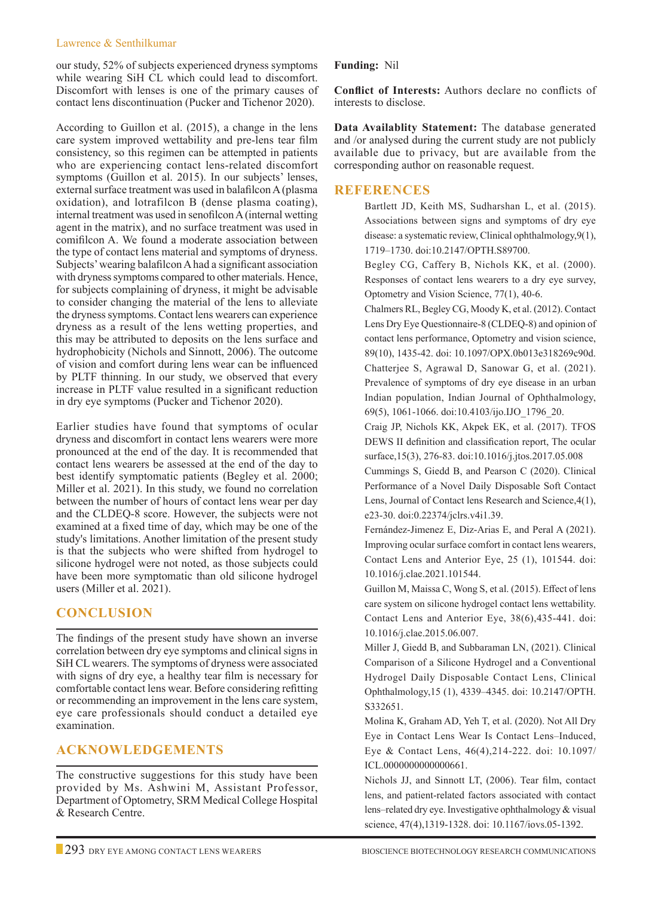#### Lawrence & Senthilkumar

our study, 52% of subjects experienced dryness symptoms while wearing SiH CL which could lead to discomfort. Discomfort with lenses is one of the primary causes of contact lens discontinuation (Pucker and Tichenor 2020).

According to Guillon et al. (2015), a change in the lens care system improved wettability and pre-lens tear film consistency, so this regimen can be attempted in patients who are experiencing contact lens-related discomfort symptoms (Guillon et al. 2015). In our subjects' lenses, external surface treatment was used in balafilcon A (plasma oxidation), and lotrafilcon B (dense plasma coating), internal treatment was used in senofilcon A (internal wetting agent in the matrix), and no surface treatment was used in comifilcon A. We found a moderate association between the type of contact lens material and symptoms of dryness. Subjects' wearing balafilcon A had a significant association with dryness symptoms compared to other materials. Hence, for subjects complaining of dryness, it might be advisable to consider changing the material of the lens to alleviate the dryness symptoms. Contact lens wearers can experience dryness as a result of the lens wetting properties, and this may be attributed to deposits on the lens surface and hydrophobicity (Nichols and Sinnott, 2006). The outcome of vision and comfort during lens wear can be influenced by PLTF thinning. In our study, we observed that every increase in PLTF value resulted in a significant reduction in dry eye symptoms (Pucker and Tichenor 2020).

Earlier studies have found that symptoms of ocular dryness and discomfort in contact lens wearers were more pronounced at the end of the day. It is recommended that contact lens wearers be assessed at the end of the day to best identify symptomatic patients (Begley et al. 2000; Miller et al. 2021). In this study, we found no correlation between the number of hours of contact lens wear per day and the CLDEQ-8 score. However, the subjects were not examined at a fixed time of day, which may be one of the study's limitations. Another limitation of the present study is that the subjects who were shifted from hydrogel to silicone hydrogel were not noted, as those subjects could have been more symptomatic than old silicone hydrogel users (Miller et al. 2021).

# **Conclusion**

The findings of the present study have shown an inverse correlation between dry eye symptoms and clinical signs in SiH CL wearers. The symptoms of dryness were associated with signs of dry eye, a healthy tear film is necessary for comfortable contact lens wear. Before considering refitting or recommending an improvement in the lens care system, eye care professionals should conduct a detailed eye examination.

# **Acknowledgements**

The constructive suggestions for this study have been provided by Ms. Ashwini M, Assistant Professor, Department of Optometry, SRM Medical College Hospital & Research Centre.

## **Funding:** Nil

**Conflict of Interests:** Authors declare no conflicts of interests to disclose.

**Data Availablity Statement:** The database generated and /or analysed during the current study are not publicly available due to privacy, but are available from the corresponding author on reasonable request.

## **References**

Bartlett JD, Keith MS, Sudharshan L, et al. (2015). Associations between signs and symptoms of dry eye disease: a systematic review, Clinical ophthalmology,9(1), 1719–1730. doi:10.2147/OPTH.S89700.

Begley CG, Caffery B, Nichols KK, et al. (2000). Responses of contact lens wearers to a dry eye survey, Optometry and Vision Science, 77(1), 40-6.

Chalmers RL, Begley CG, Moody K, et al. (2012). Contact Lens Dry Eye Questionnaire-8 (CLDEQ-8) and opinion of contact lens performance, Optometry and vision science, 89(10), 1435-42. doi: 10.1097/OPX.0b013e318269c90d. Chatterjee S, Agrawal D, Sanowar G, et al. (2021). Prevalence of symptoms of dry eye disease in an urban Indian population, Indian Journal of Ophthalmology, 69(5), 1061-1066. doi:10.4103/ijo.IJO\_1796\_20.

Craig JP, Nichols KK, Akpek EK, et al. (2017). TFOS DEWS II definition and classification report, The ocular surface,15(3), 276-83. doi:10.1016/j.jtos.2017.05.008

Cummings S, Giedd B, and Pearson C (2020). Clinical Performance of a Novel Daily Disposable Soft Contact Lens, Journal of Contact lens Research and Science,4(1), e23-30. doi:0.22374/jclrs.v4i1.39.

Fernández-Jimenez E, Diz-Arias E, and Peral A (2021). Improving ocular surface comfort in contact lens wearers, Contact Lens and Anterior Eye, 25 (1), 101544. doi: 10.1016/j.clae.2021.101544.

 Guillon M, Maissa C, Wong S, et al. (2015). Effect of lens care system on silicone hydrogel contact lens wettability. Contact Lens and Anterior Eye, 38(6),435-441. doi: 10.1016/j.clae.2015.06.007.

 Miller J, Giedd B, and Subbaraman LN, (2021). Clinical Comparison of a Silicone Hydrogel and a Conventional Hydrogel Daily Disposable Contact Lens, Clinical Ophthalmology,15 (1), 4339–4345. doi: 10.2147/OPTH. S332651.

 Molina K, Graham AD, Yeh T, et al. (2020). Not All Dry Eye in Contact Lens Wear Is Contact Lens–Induced, Eye & Contact Lens, 46(4),214-222. doi: 10.1097/ ICL.0000000000000661.

 Nichols JJ, and Sinnott LT, (2006). Tear film, contact lens, and patient-related factors associated with contact lens–related dry eye. Investigative ophthalmology & visual science, 47(4),1319-1328. doi: 10.1167/iovs.05-1392.